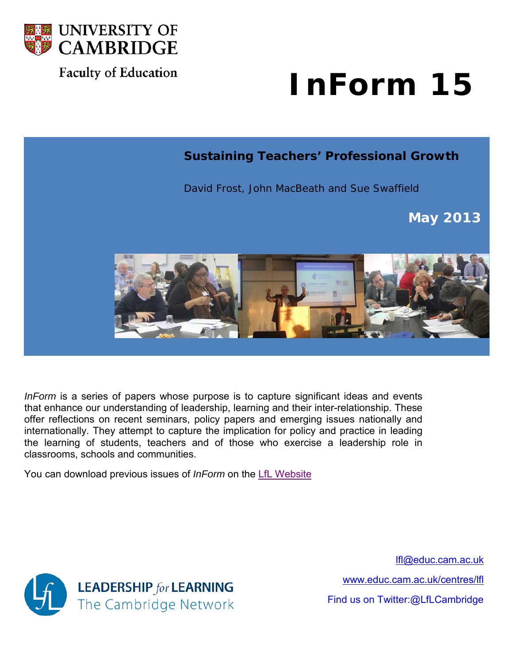

# **Faculty of Education**

# **InForm 15**

# **Sustaining Teachers' Professional Growth**

David Frost, John MacBeath and Sue Swaffield

**May 2013**



*InForm* is a series of papers whose purpose is to capture significant ideas and events that enhance our understanding of leadership, learning and their inter-relationship. These offer reflections on recent seminars, policy papers and emerging issues nationally and internationally. They attempt to capture the implication for policy and practice in leading the learning of students, teachers and of those who exercise a leadership role in classrooms, schools and communities.

You can download previous issues of *InForm* on the [LfL Website](http://www.educ.cam.ac.uk/centres/lfl/current/inform/)



[lfl@educ.cam.ac.uk](mailto:lfl@educ.cam.ac.uk)

[www.educ.cam.ac.uk/centres/lfl](http://www.educ.cam.ac.uk/centres/lfl)

Find us on Twitter:@LfLCambridge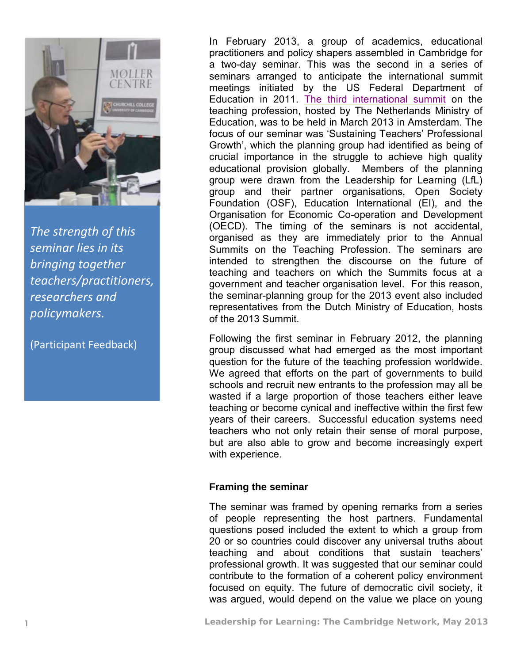

*The strength of this seminar lies in its bringing together teachers/practitioners, researchers and policymakers.*

(Participant Feedback)

In February 2013, a group of academics, educational practitioners and policy shapers assembled in Cambridge for a two-day seminar. This was the second in a series of seminars arranged to anticipate the international summit meetings initiated by the US Federal Department of Education in 2011. [The third international summit](http://www.teachersummit2013.org/) on the teaching profession, hosted by The Netherlands Ministry of Education, was to be held in March 2013 in Amsterdam. The focus of our seminar was 'Sustaining Teachers' Professional Growth', which the planning group had identified as being of crucial importance in the struggle to achieve high quality educational provision globally. Members of the planning group were drawn from the Leadership for Learning (LfL) group and their partner organisations, Open Society Foundation (OSF), Education International (EI), and the Organisation for Economic Co-operation and Development (OECD). The timing of the seminars is not accidental, organised as they are immediately prior to the Annual Summits on the Teaching Profession. The seminars are intended to strengthen the discourse on the future of teaching and teachers on which the Summits focus at a government and teacher organisation level. For this reason, the seminar-planning group for the 2013 event also included representatives from the Dutch Ministry of Education, hosts of the 2013 Summit.

Following the first seminar in February 2012, the planning group discussed what had emerged as the most important question for the future of the teaching profession worldwide. We agreed that efforts on the part of governments to build schools and recruit new entrants to the profession may all be wasted if a large proportion of those teachers either leave teaching or become cynical and ineffective within the first few years of their careers. Successful education systems need teachers who not only retain their sense of moral purpose, but are also able to grow and become increasingly expert with experience.

# **Framing the seminar**

The seminar was framed by opening remarks from a series of people representing the host partners. Fundamental questions posed included the extent to which a group from 20 or so countries could discover any universal truths about teaching and about conditions that sustain teachers' professional growth. It was suggested that our seminar could contribute to the formation of a coherent policy environment focused on equity. The future of democratic civil society, it was argued, would depend on the value we place on young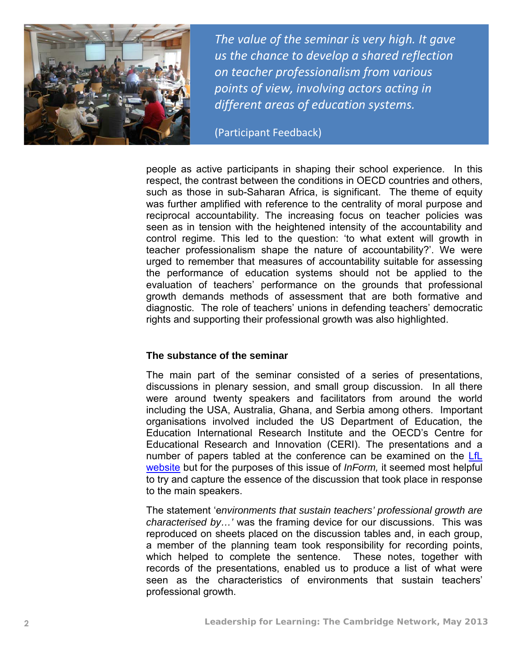

*The value of the seminar is very high. It gave us the chance to develop a shared reflection on teacher professionalism from various points of view, involving actors acting in different areas of education systems.*

(Participant Feedback)

people as active participants in shaping their school experience. In this respect, the contrast between the conditions in OECD countries and others, such as those in sub-Saharan Africa, is significant. The theme of equity was further amplified with reference to the centrality of moral purpose and reciprocal accountability. The increasing focus on teacher policies was seen as in tension with the heightened intensity of the accountability and control regime. This led to the question: 'to what extent will growth in teacher professionalism shape the nature of accountability?'. We were urged to remember that measures of accountability suitable for assessing the performance of education systems should not be applied to the evaluation of teachers' performance on the grounds that professional growth demands methods of assessment that are both formative and diagnostic. The role of teachers' unions in defending teachers' democratic rights and supporting their professional growth was also highlighted.

#### **The substance of the seminar**

The main part of the seminar consisted of a series of presentations, discussions in plenary session, and small group discussion. In all there were around twenty speakers and facilitators from around the world including the USA, Australia, Ghana, and Serbia among others. Important organisations involved included the US Department of Education, the Education International Research Institute and the OECD's Centre for Educational Research and Innovation (CERI). The presentations and a number of papers tabled at the conference can be examined on the [LfL](http://www.educ.cam.ac.uk/centres/lfl/researchanddevelopment/policy/cambridgeseminars/index.html)  [website](http://www.educ.cam.ac.uk/centres/lfl/researchanddevelopment/policy/cambridgeseminars/index.html) but for the purposes of this issue of *InForm,* it seemed most helpful to try and capture the essence of the discussion that took place in response to the main speakers.

The statement 'e*nvironments that sustain teachers' professional growth are characterised by…'* was the framing device for our discussions. This was reproduced on sheets placed on the discussion tables and, in each group, a member of the planning team took responsibility for recording points, which helped to complete the sentence. These notes, together with records of the presentations, enabled us to produce a list of what were seen as the characteristics of environments that sustain teachers' professional growth.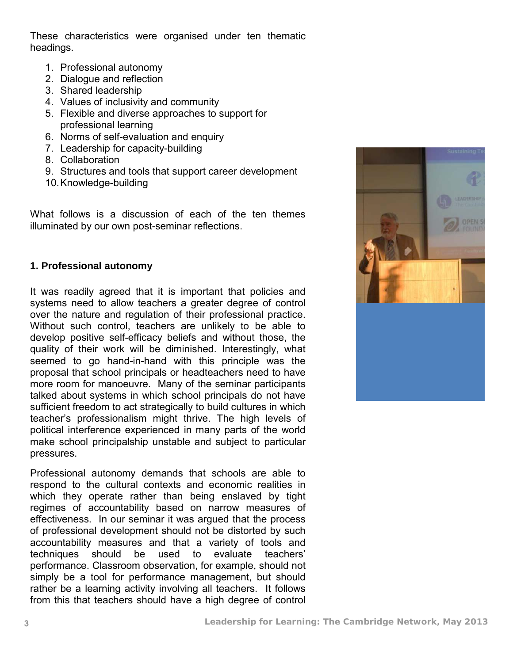These characteristics were organised under ten thematic headings.

- 1. Professional autonomy
- 2. Dialogue and reflection
- 3. Shared leadership
- 4. Values of inclusivity and community
- 5. Flexible and diverse approaches to support for professional learning
- 6. Norms of self-evaluation and enquiry
- 7. Leadership for capacity-building
- 8. Collaboration
- 9. Structures and tools that support career development
- 10. Knowledge-building

What follows is a discussion of each of the ten themes illuminated by our own post-seminar reflections.

#### **1. Professional autonomy**

It was readily agreed that it is important that policies and systems need to allow teachers a greater degree of control over the nature and regulation of their professional practice. Without such control, teachers are unlikely to be able to develop positive self-efficacy beliefs and without those, the quality of their work will be diminished. Interestingly, what seemed to go hand-in-hand with this principle was the proposal that school principals or headteachers need to have more room for manoeuvre. Many of the seminar participants talked about systems in which school principals do not have sufficient freedom to act strategically to build cultures in which teacher's professionalism might thrive. The high levels of political interference experienced in many parts of the world make school principalship unstable and subject to particular pressures.

Professional autonomy demands that schools are able to respond to the cultural contexts and economic realities in which they operate rather than being enslaved by tight regimes of accountability based on narrow measures of effectiveness. In our seminar it was argued that the process of professional development should not be distorted by such accountability measures and that a variety of tools and techniques should be used to evaluate teachers' performance. Classroom observation, for example, should not simply be a tool for performance management, but should rather be a learning activity involving all teachers. It follows from this that teachers should have a high degree of control

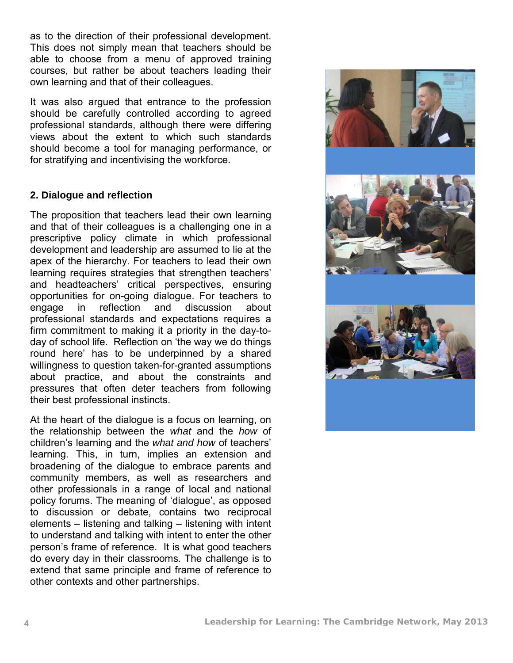as to the direction of their professional development. This does not simply mean that teachers should be able to choose from a menu of approved training courses, but rather be about teachers leading their own learning and that of their colleagues.

It was also argued that entrance to the profession should be carefully controlled according to agreed professional standards, although there were differing views about the extent to which such standards should become a tool for managing performance, or for stratifying and incentivising the workforce.

#### **2. Dialogue and reflection**

The proposition that teachers lead their own learning and that of their colleagues is a challenging one in a prescriptive policy climate in which professional development and leadership are assumed to lie at the apex of the hierarchy. For teachers to lead their own learning requires strategies that strengthen teachers' and headteachers' critical perspectives, ensuring opportunities for on-going dialogue. For teachers to engage in reflection and discussion about professional standards and expectations requires a firm commitment to making it a priority in the day-today of school life. Reflection on 'the way we do things round here' has to be underpinned by a shared willingness to question taken-for-granted assumptions about practice, and about the constraints and pressures that often deter teachers from following their best professional instincts.

At the heart of the dialogue is a focus on learning, on the relationship between the *what* and the *how* of children's learning and the *what and how* of teachers' learning. This, in turn, implies an extension and broadening of the dialogue to embrace parents and community members, as well as researchers and other professionals in a range of local and national policy forums. The meaning of 'dialogue', as opposed to discussion or debate, contains two reciprocal elements – listening and talking – listening with intent to understand and talking with intent to enter the other person's frame of reference. It is what good teachers do every day in their classrooms. The challenge is to extend that same principle and frame of reference to other contexts and other partnerships.

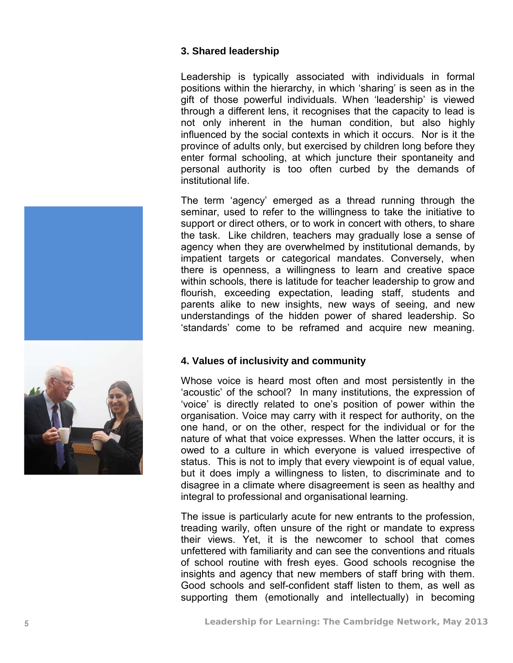#### **3. Shared leadership**

Leadership is typically associated with individuals in formal positions within the hierarchy, in which 'sharing' is seen as in the gift of those powerful individuals. When 'leadership' is viewed through a different lens, it recognises that the capacity to lead is not only inherent in the human condition, but also highly influenced by the social contexts in which it occurs. Nor is it the province of adults only, but exercised by children long before they enter formal schooling, at which juncture their spontaneity and personal authority is too often curbed by the demands of institutional life.

The term 'agency' emerged as a thread running through the seminar, used to refer to the willingness to take the initiative to support or direct others, or to work in concert with others, to share the task. Like children, teachers may gradually lose a sense of agency when they are overwhelmed by institutional demands, by impatient targets or categorical mandates. Conversely, when there is openness, a willingness to learn and creative space within schools, there is latitude for teacher leadership to grow and flourish, exceeding expectation, leading staff, students and parents alike to new insights, new ways of seeing, and new understandings of the hidden power of shared leadership. So 'standards' come to be reframed and acquire new meaning.

# **4. Values of inclusivity and community**

Whose voice is heard most often and most persistently in the 'acoustic' of the school? In many institutions, the expression of 'voice' is directly related to one's position of power within the organisation. Voice may carry with it respect for authority, on the one hand, or on the other, respect for the individual or for the nature of what that voice expresses. When the latter occurs, it is owed to a culture in which everyone is valued irrespective of status. This is not to imply that every viewpoint is of equal value, but it does imply a willingness to listen, to discriminate and to disagree in a climate where disagreement is seen as healthy and integral to professional and organisational learning.

The issue is particularly acute for new entrants to the profession, treading warily, often unsure of the right or mandate to express their views. Yet, it is the newcomer to school that comes unfettered with familiarity and can see the conventions and rituals of school routine with fresh eyes. Good schools recognise the insights and agency that new members of staff bring with them. Good schools and self -confident staff listen to them, as well as supporting them (emotionally and intellectually) in becoming

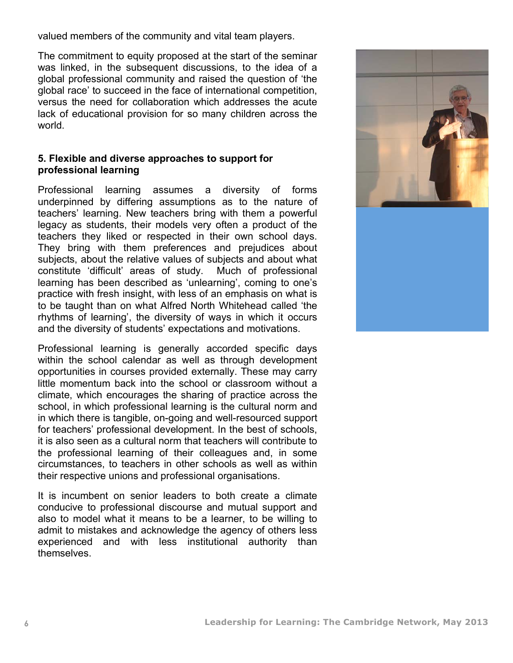valued members of the community and vital team players.

The commitment to equity proposed at the start of the seminar was linked, in the subsequent discussions, to the idea of a global professional community and raised the question of 'the global race' to succeed in the face of international competition, versus the need for collaboration which addresses the acute lack of educational provision for so many children across the world.

#### **5. Flexible and diverse approaches to support for professional learning**

Professional learning assumes a diversity of forms underpinned by differing assumptions as to the nature of teachers' learning. New teachers bring with them a powerful legacy as students, their models very often a product of the teachers they liked or respected in their own school days. They bring with them preferences and prejudices about subjects, about the relative values of subjects and about what constitute 'difficult' areas of study. Much of professional learning has been described as 'unlearning', coming to one's practice with fresh insight, with less of an emphasis on what is to be taught than on what Alfred North Whitehead called 'the rhythms of learning', the diversity of ways in which it occurs and the diversity of students' expectations and motivations.

Professional learning is generally accorded specific days within the school calendar as well as through development opportunities in courses provided externally. These may carry little momentum back into the school or classroom without a climate, which encourages the sharing of practice across the school, in which professional learning is the cultural norm and in which there is tangible, on-going and well-resourced support for teachers' professional development. In the best of schools, it is also seen as a cultural norm that teachers will contribute to the professional learning of their colleagues and, in some circumstances, to teachers in other schools as well as within their respective unions and professional organisations.

It is incumbent on senior leaders to both create a climate conducive to professional discourse and mutual support and also to model what it means to be a learner, to be willing to admit to mistakes and acknowledge the agency of others less experienced and with less institutional authority than themselves.

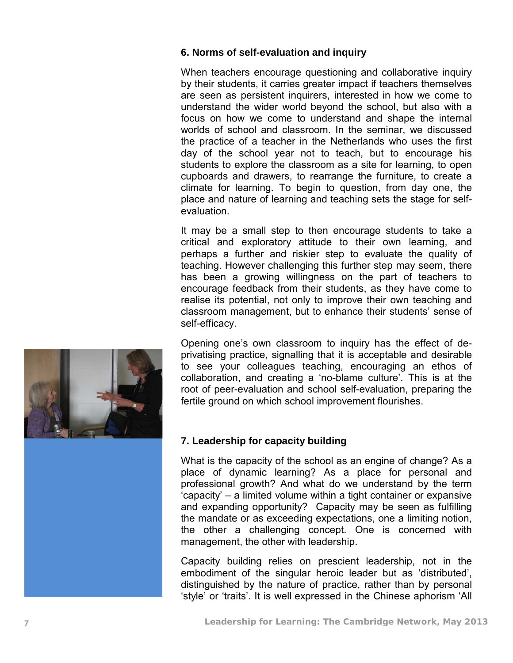# **6. Norms of self -evaluation and inquiry**

When teachers encourage questioning and collaborative inquiry by their students, it carries greater impact if teachers themselves are seen as persistent inquirers, interested in how we come to understand the wider world beyond the school, but also with a focus on how we come to understand and shape the internal worlds of school and classroom. In the seminar, we discussed the practice of a teacher in the Netherlands who uses the first day of the school year not to teach, but to encourage his students to explore the classroom as a site for learning, to open cupboards and drawers, to rearrange the furniture, to create a climate for learning. To begin to question, from day one, the place and nature of learning and teaching sets the stage for self evaluation.

It may be a small step to then encourage students to take a critical and exploratory attitude to their own learning, and perhaps a further and riskier step to evaluate the quality of teaching. However challenging this further step may seem, there has been a growing willingness on the part of teachers to encourage feedback from their students, as they have come to realise its potential, not only to improve their own teaching and classroom management, but to enhance their students' sense of self-efficacy.

Opening one's own classroom to inquiry has the effect of de privatising practice, signalling that it is acceptable and desirable to see your colleagues teaching, encouraging an ethos of collaboration, and creating a 'no -blame culture'. This is at the root of peer-evaluation and school self -evaluation, preparing the fertile ground on which school improvement flourishes.

# **7. Leadership for capacity building**

What is the capacity of the school as an engine of change? As a place of dynamic learning? As a place for personal and professional growth? And what do we understand by the term 'capacity' – a limited volume within a tight container or expansive and expanding opportunity? Capacity may be seen as fulfilling the mandate or as exceeding expectations, one a limiting notion, the other a challenging concept. One is concerned with management, the other with leadership.

Capacity building relies on prescient leadership, not in the embodiment of the singular heroic leader but as 'distributed', distinguished by the nature of practice, rather than by personal 'style' or 'traits'. It is well expressed in the Chinese aphorism 'All

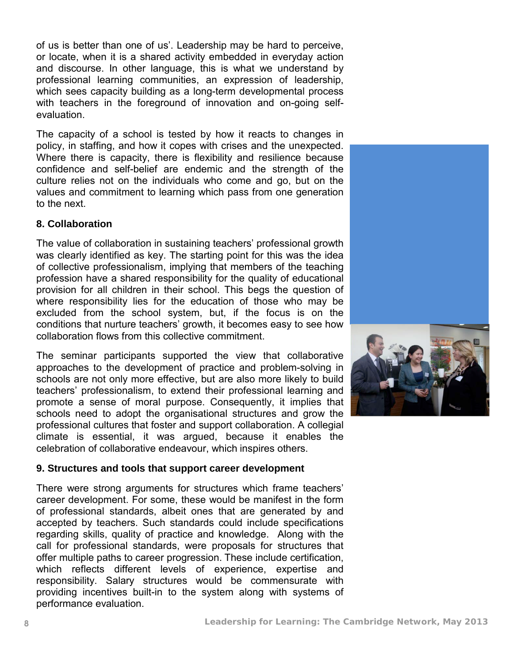of us is better than one of us'. Leadership may be hard to perceive, or locate, when it is a shared activity embedded in everyday action and discourse. In other language, this is what we understand by professional learning communities, an expression of leadership, which sees capacity building as a long-term developmental process with teachers in the foreground of innovation and on-going selfevaluation.

The capacity of a school is tested by how it reacts to changes in policy, in staffing, and how it copes with crises and the unexpected. Where there is capacity, there is flexibility and resilience because confidence and self-belief are endemic and the strength of the culture relies not on the individuals who come and go, but on the values and commitment to learning which pass from one generation to the next.

#### **8. Collaboration**

The value of collaboration in sustaining teachers' professional growth was clearly identified as key. The starting point for this was the idea of collective professionalism, implying that members of the teaching profession have a shared responsibility for the quality of educational provision for all children in their school. This begs the question of where responsibility lies for the education of those who may be excluded from the school system, but, if the focus is on the conditions that nurture teachers' growth, it becomes easy to see how collaboration flows from this collective commitment.

The seminar participants supported the view that collaborative approaches to the development of practice and problem-solving in schools are not only more effective, but are also more likely to build teachers' professionalism, to extend their professional learning and promote a sense of moral purpose. Consequently, it implies that schools need to adopt the organisational structures and grow the professional cultures that foster and support collaboration. A collegial climate is essential, it was argued, because it enables the celebration of collaborative endeavour, which inspires others.

# **9. Structures and tools that support career development**

There were strong arguments for structures which frame teachers' career development. For some, these would be manifest in the form of professional standards, albeit ones that are generated by and accepted by teachers. Such standards could include specifications regarding skills, quality of practice and knowledge. Along with the call for professional standards, were proposals for structures that offer multiple paths to career progression. These include certification, which reflects different levels of experience, expertise and responsibility. Salary structures would be commensurate with providing incentives built-in to the system along with systems of performance evaluation.

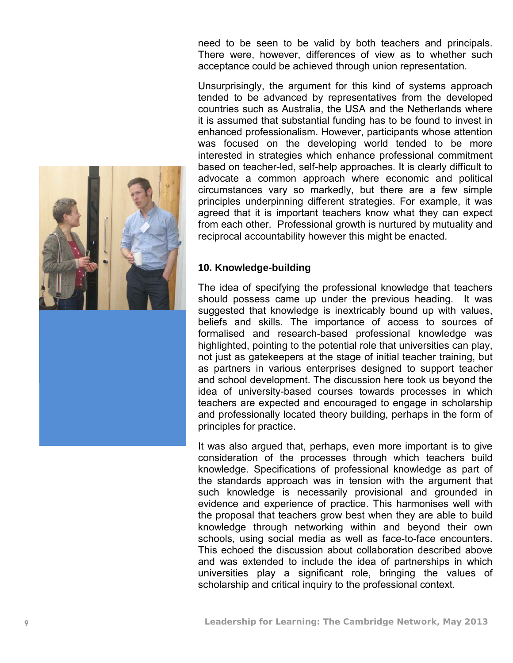acceptance could be achieved through union representation. Unsurprisingly, the argument for this kind of systems approach tended to be advanced by representatives from the developed countries such as Australia, the USA and the Netherlands where it is assumed that substantial funding has to be found to invest in

enhan ced professionalism. However, participants whose attention was focused on the developing world tended to be more interested in strategies which enhance professional commitment based on teacher -led, self -help approaches. It is clearly difficult to advocate a common approach where economic and political circumstances vary so markedly, but there are a few simple principles underpinning different strategies. For example, it was agreed that it is important teachers know what they can expect from each other. Professional growth is nurtured by mutuality and reciprocal accountability however this might be enacted.

need to be seen to be valid by both teachers and principals. There were, however, differences of view as to whether such

#### **10. Knowledge -building**

The idea of specifying the professional knowledge that teachers should possess came up under the previous heading. It was suggested that knowledge is inextricably bound up with values, beliefs and skills. The importance of access to sources of formalised and research -based professional knowledge was highlighted, pointing to the potential role that universities can play, not just as gatekeepers at the stage of initial teacher training, but as partners in various enterprises designed to support teacher and school development. The discussion here took us beyond the idea of university -based courses towards processes in which teachers are expected and encouraged to engage in scholarship and professionally located theory building, perhaps in the form of principles for practice.

It was also argued that, perhaps, even more important is to give consideration of the processes through which teachers build knowledge. Specifications of professional knowledge as part of the standards approach was in tension with the argument that such knowledge is necessarily provisional and grounded in evidence and experience of practice. This harmonises well with the proposal that teachers grow best when they are able to build knowledge through networking within and beyond their own schools, using social media as well as face -to -face encounters. This echoed the discussion about collaboration described above and was extended to include the idea of partnersh ips in which universities play a significant role, bringing the values of scholarship and critical inquiry to the professional context.